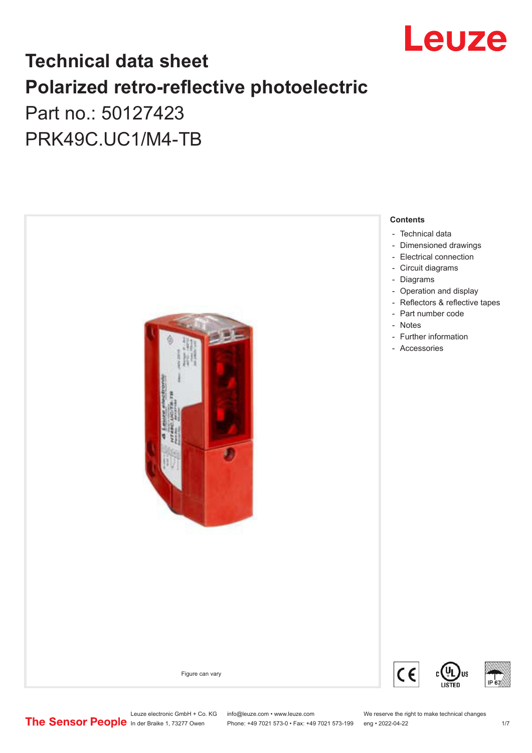

## **Technical data sheet Polarized retro-reflective photoelectric**  Part no.: 50127423

PRK49C.UC1/M4-TB



Leuze electronic GmbH + Co. KG info@leuze.com • www.leuze.com We reserve the right to make technical changes<br>
The Sensor People in der Braike 1, 73277 Owen Phone: +49 7021 573-0 • Fax: +49 7021 573-199 eng • 2022-04-22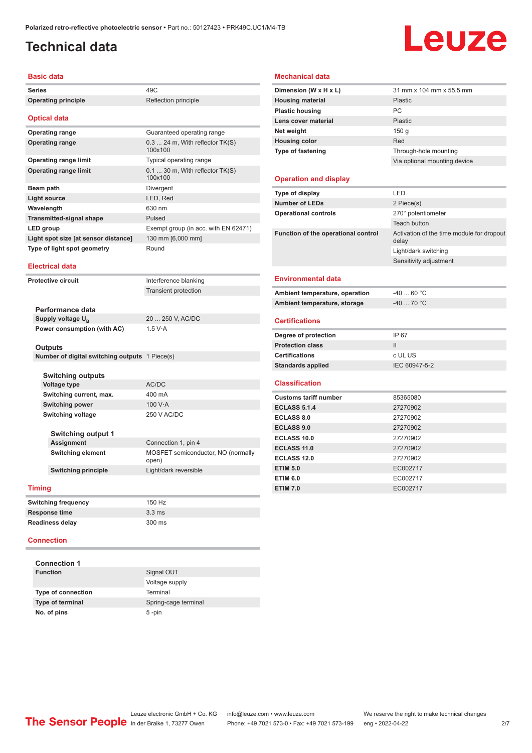## <span id="page-1-0"></span>**Technical data**

# Leuze

#### **Basic data**

| <b>Operating principle</b>                     | Reflection principle                          |
|------------------------------------------------|-----------------------------------------------|
|                                                |                                               |
| <b>Optical data</b>                            |                                               |
| <b>Operating range</b>                         | Guaranteed operating range                    |
| <b>Operating range</b>                         | $0.3$ 24 m, With reflector $TK(S)$<br>100x100 |
| <b>Operating range limit</b>                   | Typical operating range                       |
| <b>Operating range limit</b>                   | $0.1$ 30 m, With reflector TK(S)<br>100x100   |
| <b>Beam path</b>                               | Divergent                                     |
| <b>Light source</b>                            | LED, Red                                      |
| Wavelength                                     | 630 nm                                        |
| <b>Transmitted-signal shape</b>                | Pulsed                                        |
| LED group                                      | Exempt group (in acc. with EN 62471)          |
| Light spot size [at sensor distance]           | 130 mm [6,000 mm]                             |
| Type of light spot geometry                    | Round                                         |
| <b>Electrical data</b>                         |                                               |
| <b>Protective circuit</b>                      | Interference blanking                         |
|                                                | Transient protection                          |
|                                                |                                               |
| Performance data                               |                                               |
| Supply voltage $U_{B}$                         | 20  250 V. AC/DC                              |
| Power consumption (with AC)                    | 1.5 V·A                                       |
| <b>Outputs</b>                                 |                                               |
| Number of digital switching outputs 1 Piece(s) |                                               |
|                                                |                                               |
| Switching outputs<br><b>Voltage type</b>       | AC/DC                                         |
| Switching current, max.                        | 400 mA                                        |
| <b>Switching power</b>                         | 100 $V·A$                                     |
| <b>Switching voltage</b>                       | <b>250 V AC/DC</b>                            |
|                                                |                                               |
| <b>Switching output 1</b>                      |                                               |
| Assignment                                     | Connection 1, pin 4                           |
| <b>Switching element</b>                       | MOSFET semiconductor, NO (normally<br>open)   |
| <b>Switching principle</b>                     | Light/dark reversible                         |
| <b>Timing</b>                                  |                                               |
| <b>Switching frequency</b>                     | 150 Hz                                        |
| <b>Response time</b>                           | 3.3 <sub>ms</sub>                             |
| <b>Readiness delay</b>                         | 300 ms                                        |
|                                                |                                               |

| Signal OUT           |
|----------------------|
| Voltage supply       |
| Terminal             |
| Spring-cage terminal |
| $5$ -pin             |
|                      |

#### **Mechanical data**

| Dimension (W x H x L)               | 31 mm x 104 mm x 55.5 mm                           |
|-------------------------------------|----------------------------------------------------|
| <b>Housing material</b>             | <b>Plastic</b>                                     |
| <b>Plastic housing</b>              | PC                                                 |
| Lens cover material                 | <b>Plastic</b>                                     |
| Net weight                          | 150 <sub>g</sub>                                   |
| <b>Housing color</b>                | Red                                                |
| <b>Type of fastening</b>            | Through-hole mounting                              |
|                                     | Via optional mounting device                       |
| <b>Operation and display</b>        |                                                    |
| Type of display                     | LED                                                |
| <b>Number of LEDs</b>               | 2 Piece(s)                                         |
| <b>Operational controls</b>         | 270° potentiometer                                 |
|                                     | <b>Teach button</b>                                |
| Function of the operational control | Activation of the time module for dropout<br>delay |
|                                     | Light/dark switching                               |
|                                     | Sensitivity adjustment                             |
| <b>Environmental data</b>           |                                                    |
| Ambient temperature, operation      | $-4060 °C$                                         |
| Ambient temperature, storage        | $-40$ 70 °C                                        |
| <b>Certifications</b>               |                                                    |
| Degree of protection                | IP 67                                              |
| <b>Protection class</b>             | $\mathbf{H}$                                       |
| <b>Certifications</b>               | c UL US                                            |
| <b>Standards applied</b>            | IEC 60947-5-2                                      |
| <b>Classification</b>               |                                                    |
| <b>Customs tariff number</b>        | 85365080                                           |
| <b>ECLASS 5.1.4</b>                 | 27270902                                           |
| <b>ECLASS 8.0</b>                   | 27270902                                           |
| <b>ECLASS 9.0</b>                   | 27270902                                           |
| <b>ECLASS 10.0</b>                  | 27270902                                           |
| ECLASS 11.0                         | 27270902                                           |
| <b>ECLASS 12.0</b>                  | 27270902                                           |
| <b>ETIM 5.0</b>                     | EC002717                                           |
| <b>ETIM 6.0</b>                     | EC002717                                           |
| <b>ETIM 7.0</b>                     | EC002717                                           |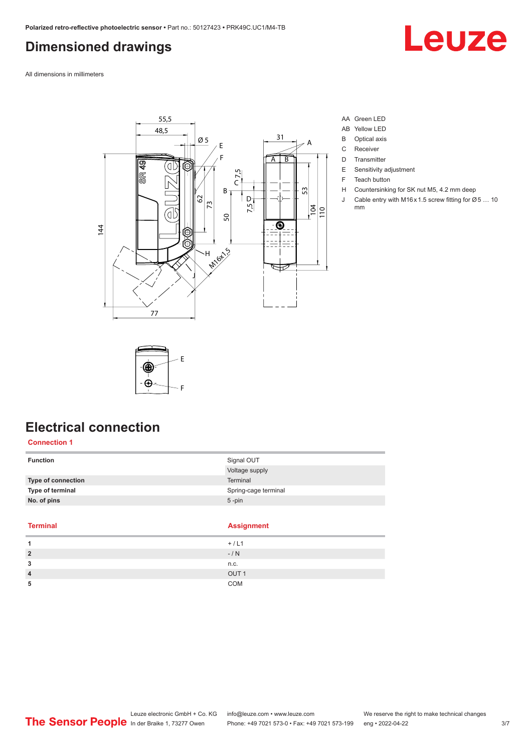## <span id="page-2-0"></span>**Dimensioned drawings**

Leuze

All dimensions in millimeters



- AA Green LED
- AB Yellow LED
- B Optical axis
- C Receiver
- D Transmitter
- E Sensitivity adjustment
- F Teach button
- H Countersinking for SK nut M5, 4.2 mm deep
- J Cable entry with M16 x 1.5 screw fitting for Ø 5 ... 10 mm



## **Electrical connection**

#### **Connection 1**

| <b>Function</b>    | Signal OUT           |
|--------------------|----------------------|
|                    | Voltage supply       |
| Type of connection | Terminal             |
| Type of terminal   | Spring-cage terminal |
| No. of pins        | $5 - pin$            |
|                    |                      |

#### **Terminal Assignment**

 $\sim$ 

|   | $+ / L1$         |
|---|------------------|
| 2 | $-/ N$           |
| 3 | n.c.             |
| Λ | OUT <sub>1</sub> |
| 5 | COM              |
|   |                  |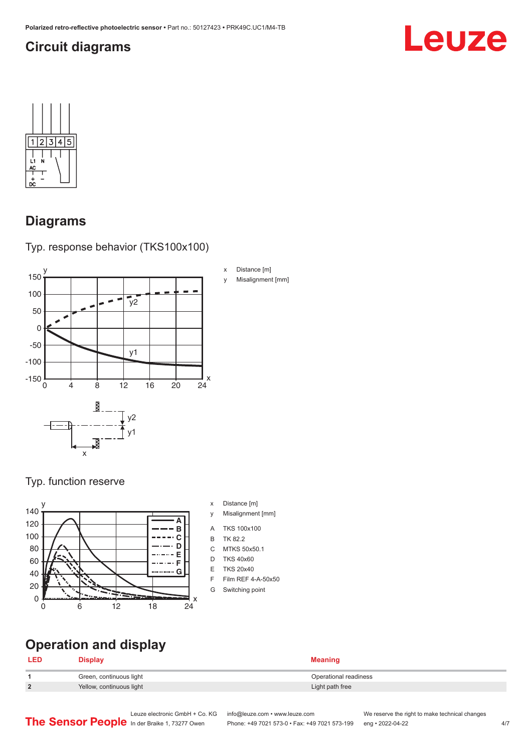## <span id="page-3-0"></span>**Circuit diagrams**





## **Diagrams**





#### Typ. function reserve



- x Distance [m]
- y Misalignment [mm]
- A TKS 100x100
- B TK 82.2
- C MTKS 50x50.1
- D TKS 40x60
- E TKS 20x40
- F Film REF 4-A-50x50
- G Switching point

## **Operation and display**

#### **LED Display Meaning**

|        | Green, continuous light  | Operational readiness |
|--------|--------------------------|-----------------------|
| $\sim$ | Yellow, continuous light | Light path free       |

Leuze electronic GmbH + Co. KG info@leuze.com • www.leuze.com We reserve the right to make technical changes<br>
The Sensor People in der Braike 1, 73277 Owen Phone: +49 7021 573-0 • Fax: +49 7021 573-199 eng • 2022-04-22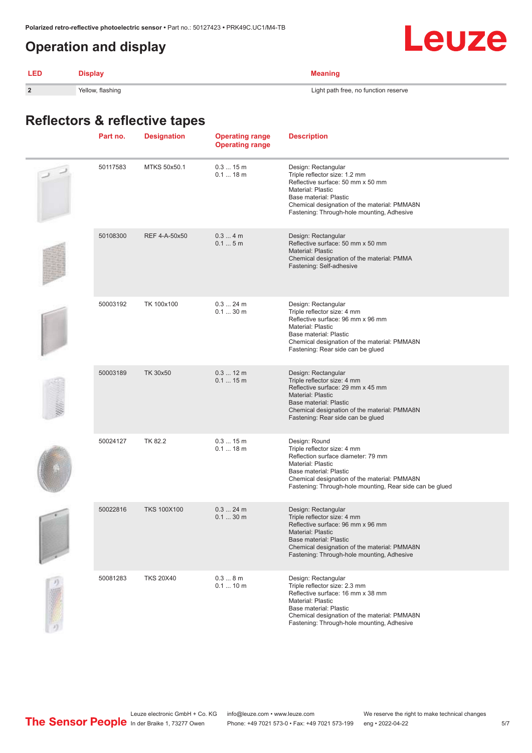## <span id="page-4-0"></span>**Operation and display**

| <b>LED</b>     | <b>Display</b>   | <b>Meaning</b>                       |
|----------------|------------------|--------------------------------------|
| $\overline{2}$ | Yellow, flashing | Light path free, no function reserve |

## **Reflectors & reflective tapes**

| Part no. | <b>Designation</b> | <b>Operating range</b><br><b>Operating range</b> | <b>Description</b>                                                                                                                                                                                                                            |
|----------|--------------------|--------------------------------------------------|-----------------------------------------------------------------------------------------------------------------------------------------------------------------------------------------------------------------------------------------------|
| 50117583 | MTKS 50x50.1       | 0.315m<br>$0.118$ m                              | Design: Rectangular<br>Triple reflector size: 1.2 mm<br>Reflective surface: 50 mm x 50 mm<br>Material: Plastic<br>Base material: Plastic<br>Chemical designation of the material: PMMA8N<br>Fastening: Through-hole mounting, Adhesive        |
| 50108300 | REF 4-A-50x50      | 0.34m<br>0.15m                                   | Design: Rectangular<br>Reflective surface: 50 mm x 50 mm<br><b>Material: Plastic</b><br>Chemical designation of the material: PMMA<br>Fastening: Self-adhesive                                                                                |
| 50003192 | TK 100x100         | $0.324$ m<br>$0.130$ m                           | Design: Rectangular<br>Triple reflector size: 4 mm<br>Reflective surface: 96 mm x 96 mm<br>Material: Plastic<br>Base material: Plastic<br>Chemical designation of the material: PMMA8N<br>Fastening: Rear side can be glued                   |
| 50003189 | TK 30x50           | $0.312$ m<br>0.115m                              | Design: Rectangular<br>Triple reflector size: 4 mm<br>Reflective surface: 29 mm x 45 mm<br><b>Material: Plastic</b><br>Base material: Plastic<br>Chemical designation of the material: PMMA8N<br>Fastening: Rear side can be glued            |
| 50024127 | TK 82.2            | 0.315m<br>$0.118$ m                              | Design: Round<br>Triple reflector size: 4 mm<br>Reflection surface diameter: 79 mm<br>Material: Plastic<br>Base material: Plastic<br>Chemical designation of the material: PMMA8N<br>Fastening: Through-hole mounting, Rear side can be glued |
| 50022816 | <b>TKS 100X100</b> | $0.324$ m<br>$0.130$ m                           | Design: Rectangular<br>Triple reflector size: 4 mm<br>Reflective surface: 96 mm x 96 mm<br>Material: Plastic<br>Base material: Plastic<br>Chemical designation of the material: PMMA8N<br>Fastening: Through-hole mounting, Adhesive          |
| 50081283 | <b>TKS 20X40</b>   | 0.38m<br>$0.110$ m                               | Design: Rectangular<br>Triple reflector size: 2.3 mm<br>Reflective surface: 16 mm x 38 mm<br>Material: Plastic<br>Base material: Plastic<br>Chemical designation of the material: PMMA8N<br>Fastening: Through-hole mounting, Adhesive        |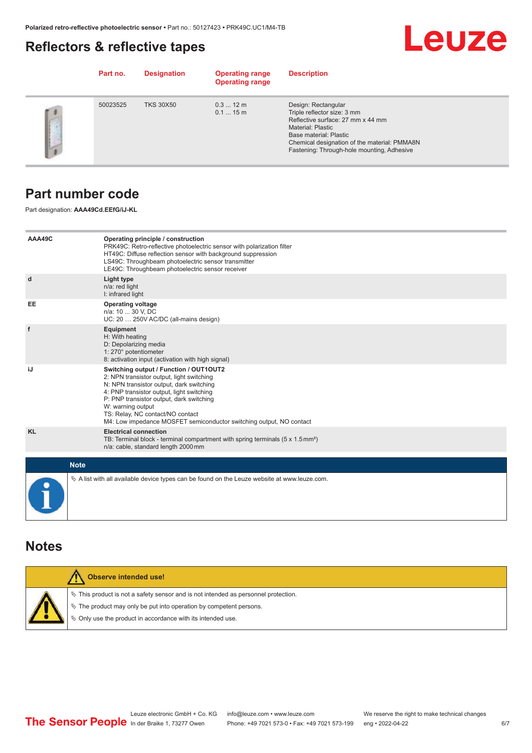## <span id="page-5-0"></span>**Reflectors & reflective tapes**



|     | Part no. | <b>Designation</b> | <b>Operating range</b><br><b>Operating range</b> | <b>Description</b>                                                                                                                                                                                                                   |
|-----|----------|--------------------|--------------------------------------------------|--------------------------------------------------------------------------------------------------------------------------------------------------------------------------------------------------------------------------------------|
| r s | 50023525 | <b>TKS 30X50</b>   | $0.312 \text{ m}$<br>0.115m                      | Design: Rectangular<br>Triple reflector size: 3 mm<br>Reflective surface: 27 mm x 44 mm<br>Material: Plastic<br>Base material: Plastic<br>Chemical designation of the material: PMMA8N<br>Fastening: Through-hole mounting, Adhesive |

## **Part number code**

Part designation: **AAA49Cd.EEfG/iJ-KL**

| AAA49C    | Operating principle / construction<br>PRK49C: Retro-reflective photoelectric sensor with polarization filter<br>HT49C: Diffuse reflection sensor with background suppression<br>LS49C: Throughbeam photoelectric sensor transmitter<br>LE49C: Throughbeam photoelectric sensor receiver                                                                  |
|-----------|----------------------------------------------------------------------------------------------------------------------------------------------------------------------------------------------------------------------------------------------------------------------------------------------------------------------------------------------------------|
| d         | Light type<br>n/a: red light<br>I: infrared light                                                                                                                                                                                                                                                                                                        |
| EE        | <b>Operating voltage</b><br>n/a: 10  30 V, DC<br>UC: 20  250V AC/DC (all-mains design)                                                                                                                                                                                                                                                                   |
| f         | <b>Equipment</b><br>H: With heating<br>D: Depolarizing media<br>1: 270° potentiometer<br>8: activation input (activation with high signal)                                                                                                                                                                                                               |
| iJ        | Switching output / Function / OUT1OUT2<br>2: NPN transistor output, light switching<br>N: NPN transistor output, dark switching<br>4: PNP transistor output, light switching<br>P: PNP transistor output, dark switching<br>W: warning output<br>TS: Relay, NC contact/NO contact<br>M4: Low impedance MOSFET semiconductor switching output, NO contact |
| <b>KL</b> | <b>Electrical connection</b><br>TB: Terminal block - terminal compartment with spring terminals $(5 \times 1.5 \text{ mm}^2)$<br>n/a: cable, standard length 2000 mm                                                                                                                                                                                     |
|           | <b>Note</b>                                                                                                                                                                                                                                                                                                                                              |
|           | $\&$ A list with all available device types can be found on the Leuze website at www.leuze.com.                                                                                                                                                                                                                                                          |

### **Notes**

| <b>Observe intended use!</b>                                                                                                                                                                                               |
|----------------------------------------------------------------------------------------------------------------------------------------------------------------------------------------------------------------------------|
| $\%$ This product is not a safety sensor and is not intended as personnel protection.<br>₹ The product may only be put into operation by competent persons.<br>§ Only use the product in accordance with its intended use. |